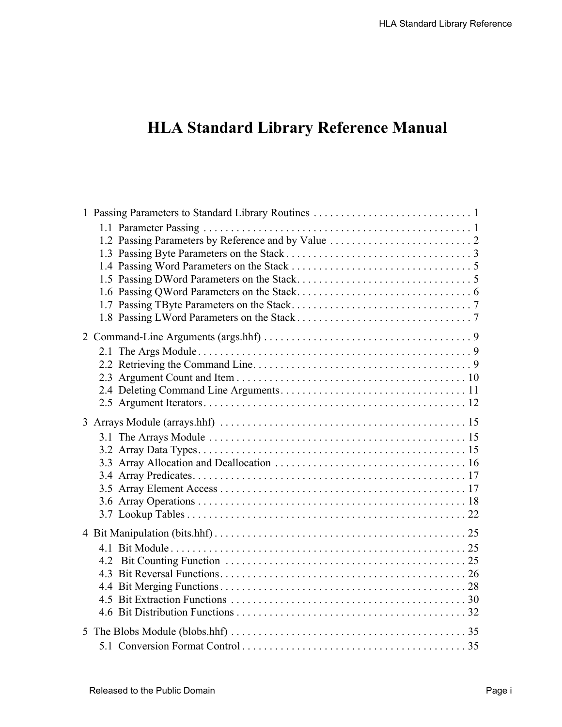## **HLA Standard Library Reference Manual**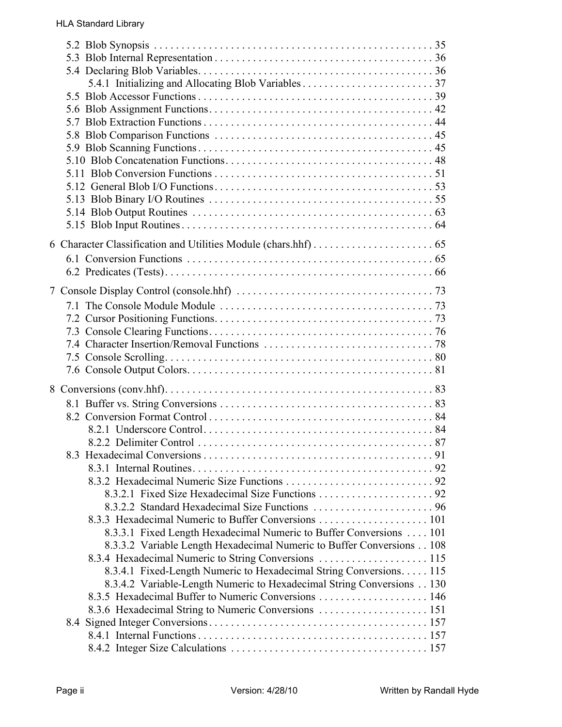| 8.3.3.1 Fixed Length Hexadecimal Numeric to Buffer Conversions 101    |  |
|-----------------------------------------------------------------------|--|
| 8.3.3.2 Variable Length Hexadecimal Numeric to Buffer Conversions 108 |  |
| 8.3.4 Hexadecimal Numeric to String Conversions 115                   |  |
| 8.3.4.1 Fixed-Length Numeric to Hexadecimal String Conversions. 115   |  |
| 8.3.4.2 Variable-Length Numeric to Hexadecimal String Conversions 130 |  |
|                                                                       |  |
| 8.3.6 Hexadecimal String to Numeric Conversions  151                  |  |
|                                                                       |  |
|                                                                       |  |
|                                                                       |  |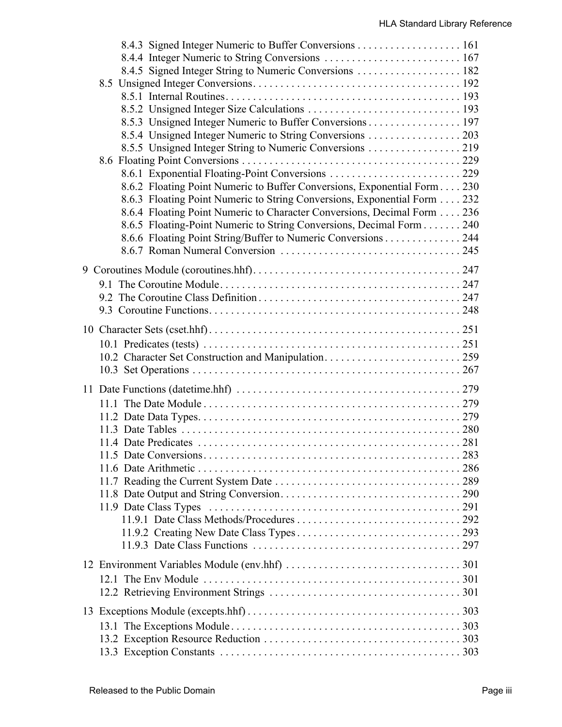| 8.4.5 Signed Integer String to Numeric Conversions  182                  |  |
|--------------------------------------------------------------------------|--|
|                                                                          |  |
|                                                                          |  |
|                                                                          |  |
| 8.5.3 Unsigned Integer Numeric to Buffer Conversions 197                 |  |
| 8.5.4 Unsigned Integer Numeric to String Conversions 203                 |  |
|                                                                          |  |
|                                                                          |  |
|                                                                          |  |
| 8.6.2 Floating Point Numeric to Buffer Conversions, Exponential Form 230 |  |
| 8.6.3 Floating Point Numeric to String Conversions, Exponential Form 232 |  |
| 8.6.4 Floating Point Numeric to Character Conversions, Decimal Form 236  |  |
| 8.6.5 Floating-Point Numeric to String Conversions, Decimal Form 240     |  |
| 8.6.6 Floating Point String/Buffer to Numeric Conversions 244            |  |
|                                                                          |  |
|                                                                          |  |
|                                                                          |  |
|                                                                          |  |
|                                                                          |  |
|                                                                          |  |
|                                                                          |  |
|                                                                          |  |
|                                                                          |  |
|                                                                          |  |
|                                                                          |  |
|                                                                          |  |
|                                                                          |  |
|                                                                          |  |
|                                                                          |  |
|                                                                          |  |
|                                                                          |  |
|                                                                          |  |
|                                                                          |  |
|                                                                          |  |
|                                                                          |  |
|                                                                          |  |
|                                                                          |  |
|                                                                          |  |
|                                                                          |  |
|                                                                          |  |
| 12.1 The Env Module                                                      |  |
|                                                                          |  |
|                                                                          |  |
|                                                                          |  |
|                                                                          |  |
|                                                                          |  |
|                                                                          |  |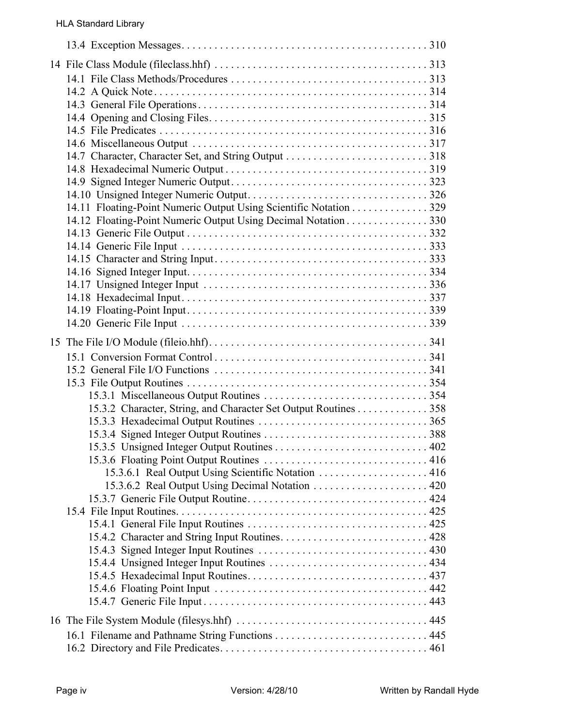| 14.11 Floating-Point Numeric Output Using Scientific Notation 329 |     |
|-------------------------------------------------------------------|-----|
| 14.12 Floating-Point Numeric Output Using Decimal Notation 330    |     |
|                                                                   |     |
|                                                                   |     |
|                                                                   |     |
|                                                                   |     |
|                                                                   |     |
|                                                                   |     |
|                                                                   |     |
|                                                                   |     |
|                                                                   |     |
|                                                                   |     |
|                                                                   |     |
|                                                                   |     |
| 15.3.2 Character, String, and Character Set Output Routines 358   |     |
|                                                                   |     |
|                                                                   | 402 |
|                                                                   |     |
| 15.3.6.1 Real Output Using Scientific Notation  416               |     |
|                                                                   |     |
|                                                                   |     |
|                                                                   |     |
|                                                                   |     |
|                                                                   |     |
|                                                                   |     |
|                                                                   |     |
|                                                                   |     |
|                                                                   |     |
|                                                                   |     |
|                                                                   |     |
|                                                                   |     |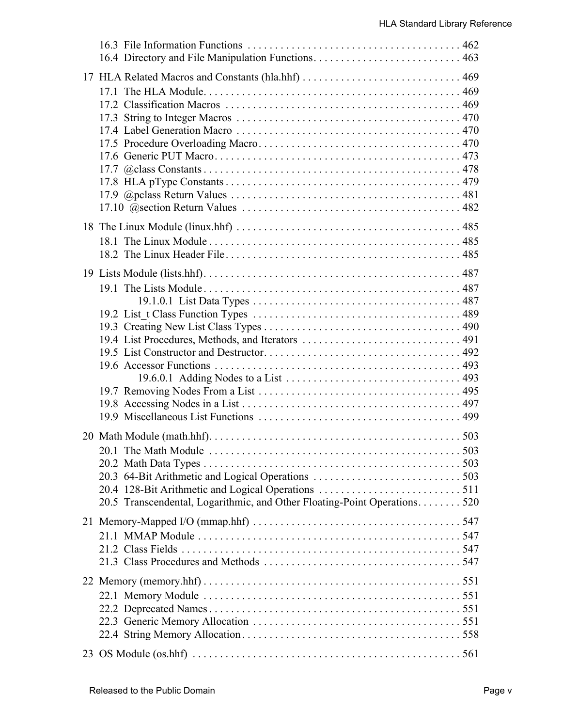| 20.5 Transcendental, Logarithmic, and Other Floating-Point Operations. 520 |  |
|----------------------------------------------------------------------------|--|
|                                                                            |  |
|                                                                            |  |
|                                                                            |  |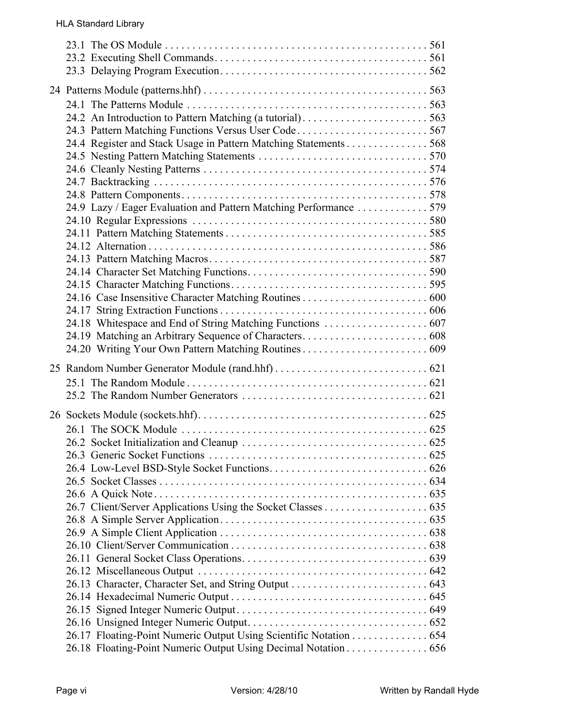| 24.4 Register and Stack Usage in Pattern Matching Statements 568<br>24.9 Lazy / Eager Evaluation and Pattern Matching Performance 579 |  |
|---------------------------------------------------------------------------------------------------------------------------------------|--|
|                                                                                                                                       |  |
| 26.17 Floating-Point Numeric Output Using Scientific Notation 654<br>26.18 Floating-Point Numeric Output Using Decimal Notation 656   |  |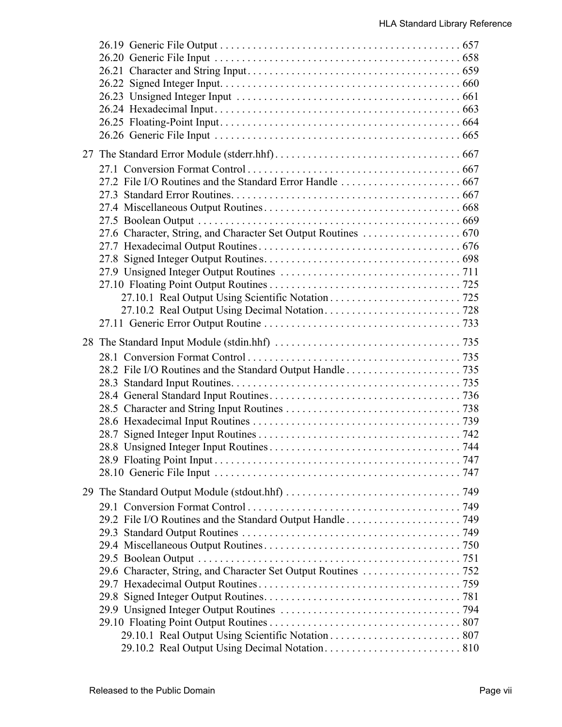| 29.6 Character, String, and Character Set Output Routines 752 |  |
|---------------------------------------------------------------|--|
|                                                               |  |
|                                                               |  |
|                                                               |  |
|                                                               |  |
|                                                               |  |
|                                                               |  |
|                                                               |  |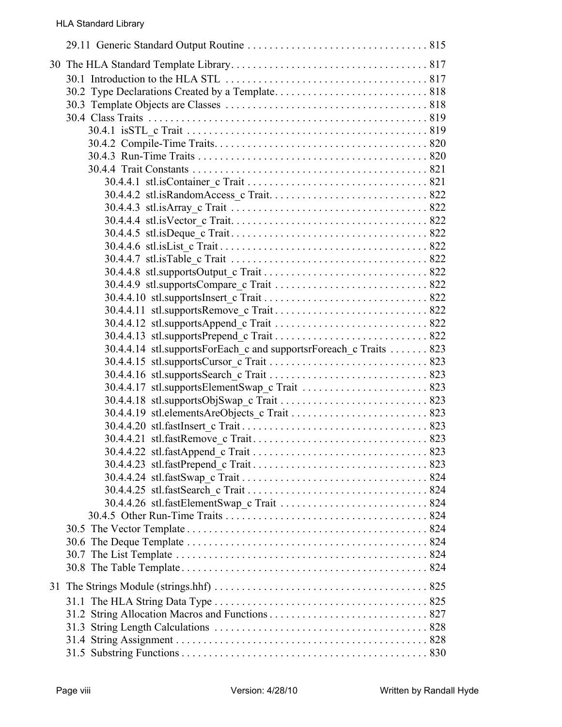| 30.4.4.14 stl.supportsForEach_c and supportsrForeach_c Traits  823 |
|--------------------------------------------------------------------|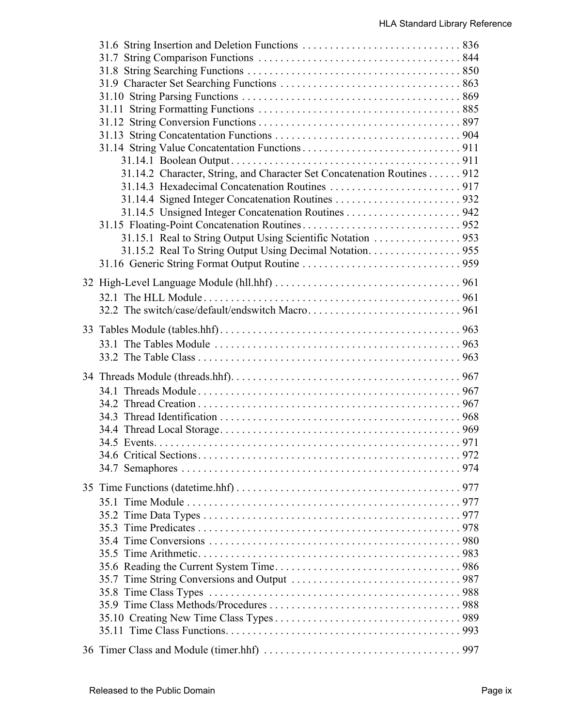| 31.14.2 Character, String, and Character Set Concatenation Routines 912 |  |
|-------------------------------------------------------------------------|--|
|                                                                         |  |
|                                                                         |  |
|                                                                         |  |
|                                                                         |  |
| 31.15.1 Real to String Output Using Scientific Notation 953             |  |
| 31.15.2 Real To String Output Using Decimal Notation. 955               |  |
|                                                                         |  |
|                                                                         |  |
|                                                                         |  |
|                                                                         |  |
|                                                                         |  |
|                                                                         |  |
|                                                                         |  |
|                                                                         |  |
|                                                                         |  |
|                                                                         |  |
|                                                                         |  |
|                                                                         |  |
|                                                                         |  |
|                                                                         |  |
|                                                                         |  |
|                                                                         |  |
|                                                                         |  |
|                                                                         |  |
|                                                                         |  |
|                                                                         |  |
|                                                                         |  |
|                                                                         |  |
|                                                                         |  |
|                                                                         |  |
|                                                                         |  |
|                                                                         |  |
|                                                                         |  |
|                                                                         |  |
|                                                                         |  |
|                                                                         |  |
|                                                                         |  |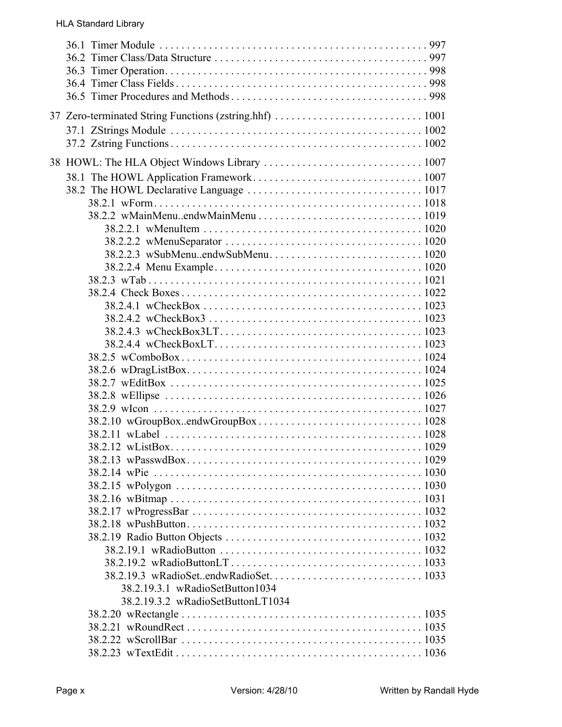| 38.2.19.3.1 wRadioSetButton1034   |  |
|-----------------------------------|--|
| 38.2.19.3.2 wRadioSetButtonLT1034 |  |
|                                   |  |
|                                   |  |
|                                   |  |
|                                   |  |